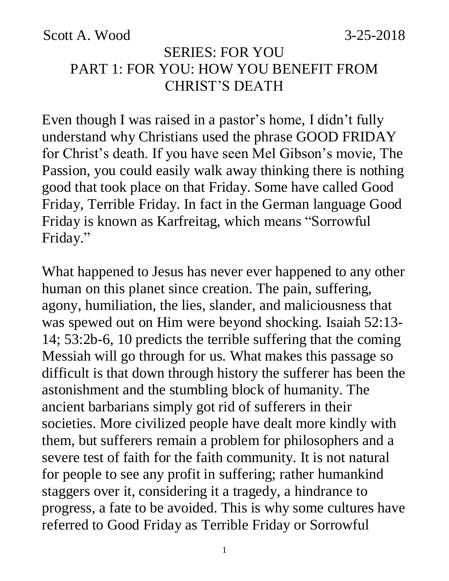Scott A. Wood 3-25-2018

#### SERIES: FOR YOU PART 1: FOR YOU: HOW YOU BENEFIT FROM CHRIST'S DEATH

Even though I was raised in a pastor's home, I didn't fully understand why Christians used the phrase GOOD FRIDAY for Christ's death. If you have seen Mel Gibson's movie, The Passion, you could easily walk away thinking there is nothing good that took place on that Friday. Some have called Good Friday, Terrible Friday. In fact in the German language Good Friday is known as Karfreitag, which means "Sorrowful Friday."

What happened to Jesus has never ever happened to any other human on this planet since creation. The pain, suffering, agony, humiliation, the lies, slander, and maliciousness that was spewed out on Him were beyond shocking. Isaiah 52:13- 14; 53:2b-6, 10 predicts the terrible suffering that the coming Messiah will go through for us. What makes this passage so difficult is that down through history the sufferer has been the astonishment and the stumbling block of humanity. The ancient barbarians simply got rid of sufferers in their societies. More civilized people have dealt more kindly with them, but sufferers remain a problem for philosophers and a severe test of faith for the faith community. It is not natural for people to see any profit in suffering; rather humankind staggers over it, considering it a tragedy, a hindrance to progress, a fate to be avoided. This is why some cultures have referred to Good Friday as Terrible Friday or Sorrowful

1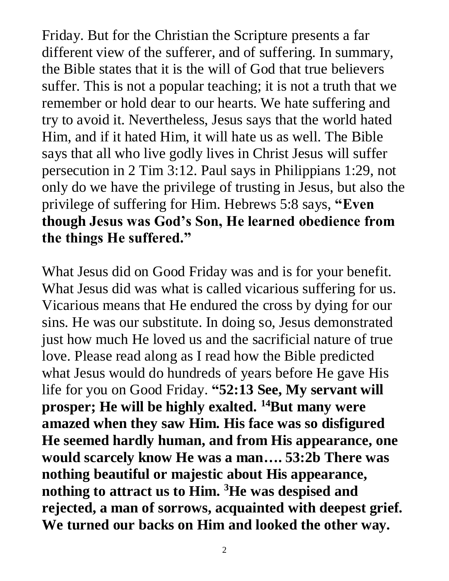Friday. But for the Christian the Scripture presents a far different view of the sufferer, and of suffering. In summary, the Bible states that it is the will of God that true believers suffer. This is not a popular teaching; it is not a truth that we remember or hold dear to our hearts. We hate suffering and try to avoid it. Nevertheless, Jesus says that the world hated Him, and if it hated Him, it will hate us as well. The Bible says that all who live godly lives in Christ Jesus will suffer persecution in 2 Tim 3:12. Paul says in Philippians 1:29, not only do we have the privilege of trusting in Jesus, but also the privilege of suffering for Him. Hebrews 5:8 says, **"Even though Jesus was God's Son, He learned obedience from the things He suffered."**

What Jesus did on Good Friday was and is for your benefit. What Jesus did was what is called vicarious suffering for us. Vicarious means that He endured the cross by dying for our sins. He was our substitute. In doing so, Jesus demonstrated just how much He loved us and the sacrificial nature of true love. Please read along as I read how the Bible predicted what Jesus would do hundreds of years before He gave His life for you on Good Friday. **"52:13 See, My servant will prosper; He will be highly exalted. <sup>14</sup>But many were amazed when they saw Him. His face was so disfigured He seemed hardly human, and from His appearance, one would scarcely know He was a man…. 53:2b There was nothing beautiful or majestic about His appearance, nothing to attract us to Him. <sup>3</sup>He was despised and rejected, a man of sorrows, acquainted with deepest grief. We turned our backs on Him and looked the other way.** 

2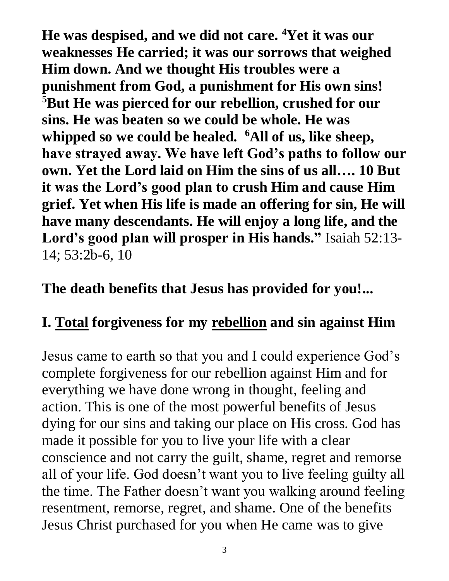**He was despised, and we did not care. <sup>4</sup>Yet it was our weaknesses He carried; it was our sorrows that weighed Him down. And we thought His troubles were a punishment from God, a punishment for His own sins! <sup>5</sup>But He was pierced for our rebellion, crushed for our sins. He was beaten so we could be whole. He was whipped so we could be healed. <sup>6</sup>All of us, like sheep, have strayed away. We have left God's paths to follow our own. Yet the Lord laid on Him the sins of us all…. 10 But it was the Lord's good plan to crush Him and cause Him grief. Yet when His life is made an offering for sin, He will have many descendants. He will enjoy a long life, and the Lord's good plan will prosper in His hands."** Isaiah 52:13- 14; 53:2b-6, 10

#### **The death benefits that Jesus has provided for you!...**

#### **I. Total forgiveness for my rebellion and sin against Him**

Jesus came to earth so that you and I could experience God's complete forgiveness for our rebellion against Him and for everything we have done wrong in thought, feeling and action. This is one of the most powerful benefits of Jesus dying for our sins and taking our place on His cross. God has made it possible for you to live your life with a clear conscience and not carry the guilt, shame, regret and remorse all of your life. God doesn't want you to live feeling guilty all the time. The Father doesn't want you walking around feeling resentment, remorse, regret, and shame. One of the benefits Jesus Christ purchased for you when He came was to give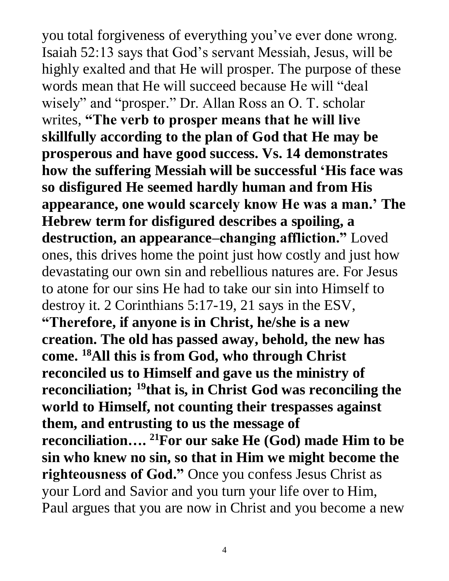you total forgiveness of everything you've ever done wrong. Isaiah 52:13 says that God's servant Messiah, Jesus, will be highly exalted and that He will prosper. The purpose of these words mean that He will succeed because He will "deal wisely" and "prosper." Dr. Allan Ross an O. T. scholar writes, **"The verb to prosper means that he will live skillfully according to the plan of God that He may be prosperous and have good success. Vs. 14 demonstrates how the suffering Messiah will be successful 'His face was so disfigured He seemed hardly human and from His appearance, one would scarcely know He was a man.' The Hebrew term for disfigured describes a spoiling, a destruction, an appearance–changing affliction."** Loved ones, this drives home the point just how costly and just how devastating our own sin and rebellious natures are. For Jesus to atone for our sins He had to take our sin into Himself to destroy it. 2 Corinthians 5:17-19, 21 says in the ESV, **"Therefore, if anyone is in Christ, he/she is a new creation. The old has passed away, behold, the new has come. <sup>18</sup>All this is from God, who through Christ reconciled us to Himself and gave us the ministry of reconciliation; <sup>19</sup>that is, in Christ God was reconciling the world to Himself, not counting their trespasses against them, and entrusting to us the message of reconciliation…. <sup>21</sup>For our sake He (God) made Him to be sin who knew no sin, so that in Him we might become the righteousness of God."** Once you confess Jesus Christ as your Lord and Savior and you turn your life over to Him, Paul argues that you are now in Christ and you become a new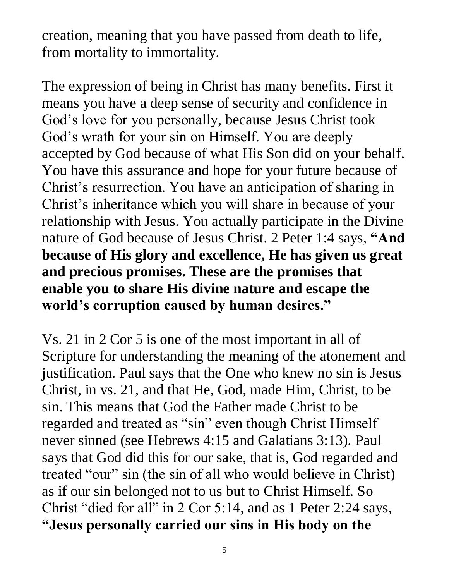creation, meaning that you have passed from death to life, from mortality to immortality.

The expression of being in Christ has many benefits. First it means you have a deep sense of security and confidence in God's love for you personally, because Jesus Christ took God's wrath for your sin on Himself. You are deeply accepted by God because of what His Son did on your behalf. You have this assurance and hope for your future because of Christ's resurrection. You have an anticipation of sharing in Christ's inheritance which you will share in because of your relationship with Jesus. You actually participate in the Divine nature of God because of Jesus Christ. 2 Peter 1:4 says, **"And because of His glory and excellence, He has given us great and precious promises. These are the promises that enable you to share His divine nature and escape the world's corruption caused by human desires."**

Vs. 21 in 2 Cor 5 is one of the most important in all of Scripture for understanding the meaning of the atonement and justification. Paul says that the One who knew no sin is Jesus Christ, in vs. 21, and that He, God, made Him, Christ, to be sin. This means that God the Father made Christ to be regarded and treated as "sin" even though Christ Himself never sinned (see Hebrews 4:15 and Galatians 3:13). Paul says that God did this for our sake, that is, God regarded and treated "our" sin (the sin of all who would believe in Christ) as if our sin belonged not to us but to Christ Himself. So Christ "died for all" in 2 Cor 5:14, and as 1 Peter 2:24 says, **"Jesus personally carried our sins in His body on the**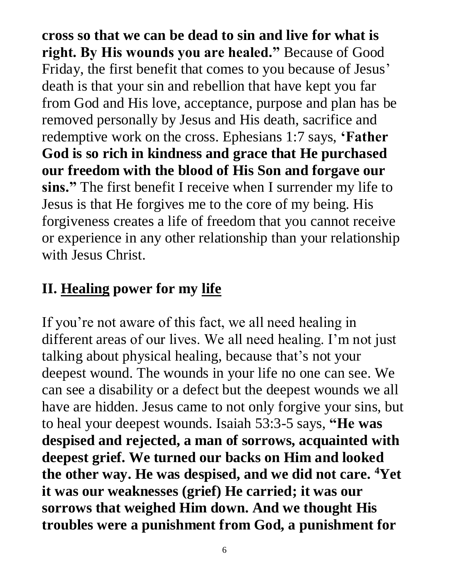**cross so that we can be dead to sin and live for what is right. By His wounds you are healed."** Because of Good Friday, the first benefit that comes to you because of Jesus' death is that your sin and rebellion that have kept you far from God and His love, acceptance, purpose and plan has be removed personally by Jesus and His death, sacrifice and redemptive work on the cross. Ephesians 1:7 says, **'Father God is so rich in kindness and grace that He purchased our freedom with the blood of His Son and forgave our sins."** The first benefit I receive when I surrender my life to Jesus is that He forgives me to the core of my being. His forgiveness creates a life of freedom that you cannot receive or experience in any other relationship than your relationship with Jesus Christ.

# **II. Healing power for my life**

If you're not aware of this fact, we all need healing in different areas of our lives. We all need healing. I'm not just talking about physical healing, because that's not your deepest wound. The wounds in your life no one can see. We can see a disability or a defect but the deepest wounds we all have are hidden. Jesus came to not only forgive your sins, but to heal your deepest wounds. Isaiah 53:3-5 says, **"He was despised and rejected, a man of sorrows, acquainted with deepest grief. We turned our backs on Him and looked the other way. He was despised, and we did not care. <sup>4</sup>Yet it was our weaknesses (grief) He carried; it was our sorrows that weighed Him down. And we thought His troubles were a punishment from God, a punishment for**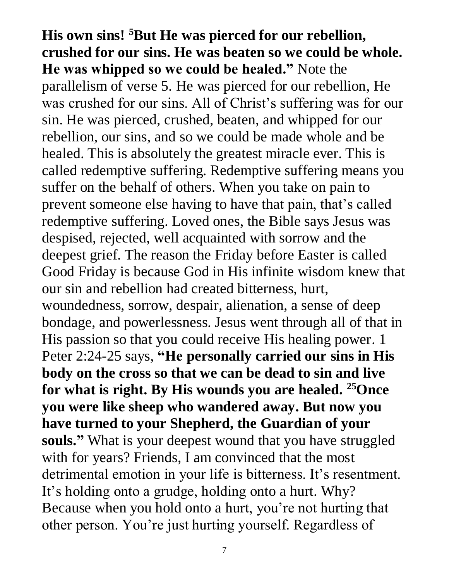**His own sins! <sup>5</sup>But He was pierced for our rebellion, crushed for our sins. He was beaten so we could be whole. He was whipped so we could be healed."** Note the parallelism of verse 5. He was pierced for our rebellion, He was crushed for our sins. All of Christ's suffering was for our sin. He was pierced, crushed, beaten, and whipped for our rebellion, our sins, and so we could be made whole and be healed. This is absolutely the greatest miracle ever. This is called redemptive suffering. Redemptive suffering means you suffer on the behalf of others. When you take on pain to prevent someone else having to have that pain, that's called redemptive suffering. Loved ones, the Bible says Jesus was despised, rejected, well acquainted with sorrow and the deepest grief. The reason the Friday before Easter is called Good Friday is because God in His infinite wisdom knew that our sin and rebellion had created bitterness, hurt, woundedness, sorrow, despair, alienation, a sense of deep bondage, and powerlessness. Jesus went through all of that in His passion so that you could receive His healing power. 1 Peter 2:24-25 says, **"He personally carried our sins in His body on the cross so that we can be dead to sin and live for what is right. By His wounds you are healed. <sup>25</sup>Once you were like sheep who wandered away. But now you have turned to your Shepherd, the Guardian of your souls."** What is your deepest wound that you have struggled with for years? Friends, I am convinced that the most detrimental emotion in your life is bitterness. It's resentment. It's holding onto a grudge, holding onto a hurt. Why? Because when you hold onto a hurt, you're not hurting that other person. You're just hurting yourself. Regardless of

7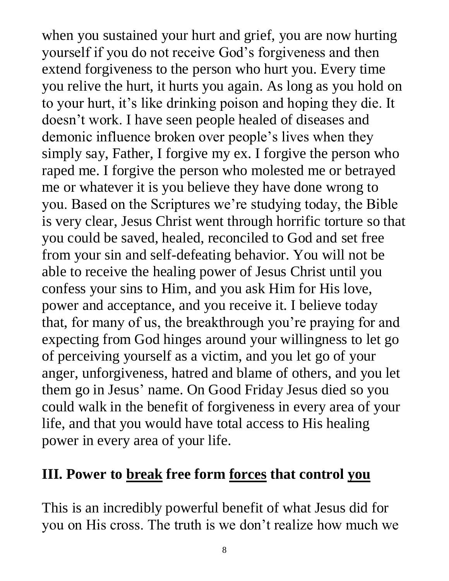when you sustained your hurt and grief, you are now hurting yourself if you do not receive God's forgiveness and then extend forgiveness to the person who hurt you. Every time you relive the hurt, it hurts you again. As long as you hold on to your hurt, it's like drinking poison and hoping they die. It doesn't work. I have seen people healed of diseases and demonic influence broken over people's lives when they simply say, Father, I forgive my ex. I forgive the person who raped me. I forgive the person who molested me or betrayed me or whatever it is you believe they have done wrong to you. Based on the Scriptures we're studying today, the Bible is very clear, Jesus Christ went through horrific torture so that you could be saved, healed, reconciled to God and set free from your sin and self-defeating behavior. You will not be able to receive the healing power of Jesus Christ until you confess your sins to Him, and you ask Him for His love, power and acceptance, and you receive it. I believe today that, for many of us, the breakthrough you're praying for and expecting from God hinges around your willingness to let go of perceiving yourself as a victim, and you let go of your anger, unforgiveness, hatred and blame of others, and you let them go in Jesus' name. On Good Friday Jesus died so you could walk in the benefit of forgiveness in every area of your life, and that you would have total access to His healing power in every area of your life.

#### **III. Power to break free form forces that control you**

This is an incredibly powerful benefit of what Jesus did for you on His cross. The truth is we don't realize how much we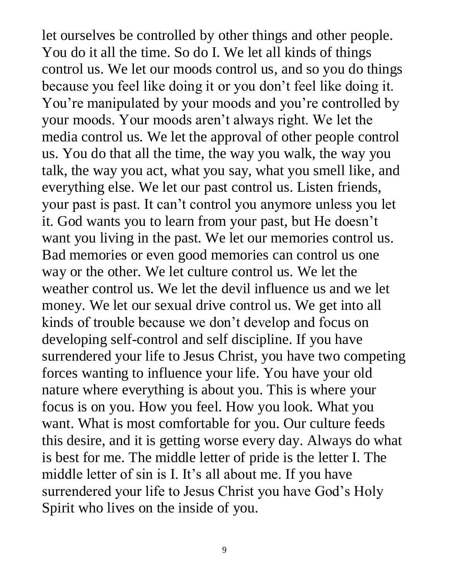let ourselves be controlled by other things and other people. You do it all the time. So do I. We let all kinds of things control us. We let our moods control us, and so you do things because you feel like doing it or you don't feel like doing it. You're manipulated by your moods and you're controlled by your moods. Your moods aren't always right. We let the media control us. We let the approval of other people control us. You do that all the time, the way you walk, the way you talk, the way you act, what you say, what you smell like, and everything else. We let our past control us. Listen friends, your past is past. It can't control you anymore unless you let it. God wants you to learn from your past, but He doesn't want you living in the past. We let our memories control us. Bad memories or even good memories can control us one way or the other. We let culture control us. We let the weather control us. We let the devil influence us and we let money. We let our sexual drive control us. We get into all kinds of trouble because we don't develop and focus on developing self-control and self discipline. If you have surrendered your life to Jesus Christ, you have two competing forces wanting to influence your life. You have your old nature where everything is about you. This is where your focus is on you. How you feel. How you look. What you want. What is most comfortable for you. Our culture feeds this desire, and it is getting worse every day. Always do what is best for me. The middle letter of pride is the letter I. The middle letter of sin is I. It's all about me. If you have surrendered your life to Jesus Christ you have God's Holy Spirit who lives on the inside of you.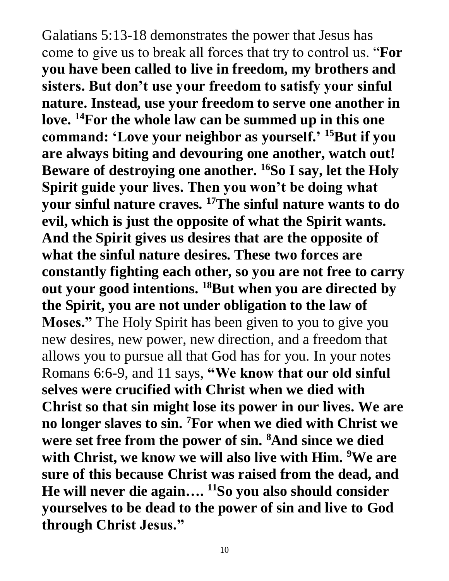Galatians 5:13-18 demonstrates the power that Jesus has come to give us to break all forces that try to control us. "**For you have been called to live in freedom, my brothers and sisters. But don't use your freedom to satisfy your sinful nature. Instead, use your freedom to serve one another in love. <sup>14</sup>For the whole law can be summed up in this one command: 'Love your neighbor as yourself.' <sup>15</sup>But if you are always biting and devouring one another, watch out! Beware of destroying one another. <sup>16</sup>So I say, let the Holy Spirit guide your lives. Then you won't be doing what your sinful nature craves. <sup>17</sup>The sinful nature wants to do evil, which is just the opposite of what the Spirit wants. And the Spirit gives us desires that are the opposite of what the sinful nature desires. These two forces are constantly fighting each other, so you are not free to carry out your good intentions. <sup>18</sup>But when you are directed by the Spirit, you are not under obligation to the law of Moses."** The Holy Spirit has been given to you to give you new desires, new power, new direction, and a freedom that allows you to pursue all that God has for you. In your notes Romans 6:6-9, and 11 says, **"We know that our old sinful selves were crucified with Christ when we died with Christ so that sin might lose its power in our lives. We are no longer slaves to sin. <sup>7</sup>For when we died with Christ we were set free from the power of sin. <sup>8</sup>And since we died with Christ, we know we will also live with Him. <sup>9</sup>We are sure of this because Christ was raised from the dead, and He will never die again…. <sup>11</sup>So you also should consider yourselves to be dead to the power of sin and live to God through Christ Jesus."**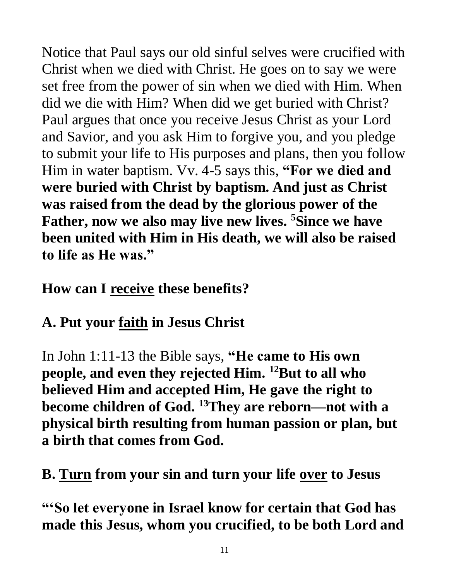Notice that Paul says our old sinful selves were crucified with Christ when we died with Christ. He goes on to say we were set free from the power of sin when we died with Him. When did we die with Him? When did we get buried with Christ? Paul argues that once you receive Jesus Christ as your Lord and Savior, and you ask Him to forgive you, and you pledge to submit your life to His purposes and plans, then you follow Him in water baptism. Vv. 4-5 says this, **"For we died and were buried with Christ by baptism. And just as Christ was raised from the dead by the glorious power of the Father, now we also may live new lives. <sup>5</sup>Since we have been united with Him in His death, we will also be raised to life as He was."** 

## **How can I receive these benefits?**

## **A. Put your faith in Jesus Christ**

In John 1:11-13 the Bible says, **"He came to His own people, and even they rejected Him. <sup>12</sup>But to all who believed Him and accepted Him, He gave the right to become children of God. <sup>13</sup>They are reborn—not with a physical birth resulting from human passion or plan, but a birth that comes from God.**

## **B. Turn from your sin and turn your life over to Jesus**

**"'So let everyone in Israel know for certain that God has made this Jesus, whom you crucified, to be both Lord and**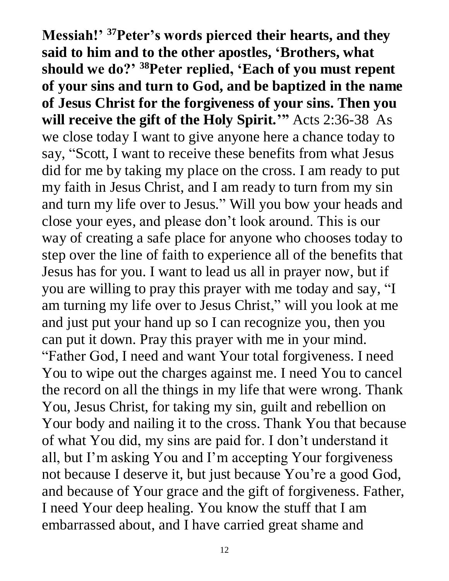**Messiah!' <sup>37</sup>Peter's words pierced their hearts, and they said to him and to the other apostles, 'Brothers, what should we do?' <sup>38</sup>Peter replied, 'Each of you must repent of your sins and turn to God, and be baptized in the name of Jesus Christ for the forgiveness of your sins. Then you will receive the gift of the Holy Spirit.'"** Acts 2:36-38As we close today I want to give anyone here a chance today to say, "Scott, I want to receive these benefits from what Jesus did for me by taking my place on the cross. I am ready to put my faith in Jesus Christ, and I am ready to turn from my sin and turn my life over to Jesus." Will you bow your heads and close your eyes, and please don't look around. This is our way of creating a safe place for anyone who chooses today to step over the line of faith to experience all of the benefits that Jesus has for you. I want to lead us all in prayer now, but if you are willing to pray this prayer with me today and say, "I am turning my life over to Jesus Christ," will you look at me and just put your hand up so I can recognize you, then you can put it down. Pray this prayer with me in your mind. "Father God, I need and want Your total forgiveness. I need You to wipe out the charges against me. I need You to cancel the record on all the things in my life that were wrong. Thank You, Jesus Christ, for taking my sin, guilt and rebellion on Your body and nailing it to the cross. Thank You that because of what You did, my sins are paid for. I don't understand it all, but I'm asking You and I'm accepting Your forgiveness not because I deserve it, but just because You're a good God, and because of Your grace and the gift of forgiveness. Father, I need Your deep healing. You know the stuff that I am embarrassed about, and I have carried great shame and